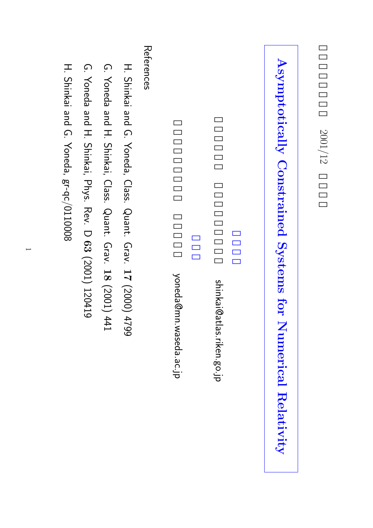# **AsymptoticallyConstrained Systems forNumericalRelativity**

shinkai@atlas.riken.go.jp shinkai@atlas.riken.go.jp

yoneda@mn.waseda.ac.jp yoneda@mn.waseda.ac.jp

References References

- H. Shinkai and G. Yoneda, Class. Quant. Grav. **17** (2000) 4799
- G. Yoneda and H. Shinkai, Class. Quant. Grav. **18** (2001) 441
- G. Yoneda and H. Shinkai, Phys. Rev. $\overline{\mathbf{\cup}}$ **63** (2001) 120419
- H. Shinkai and G. Yoneda, gr-qc/0110008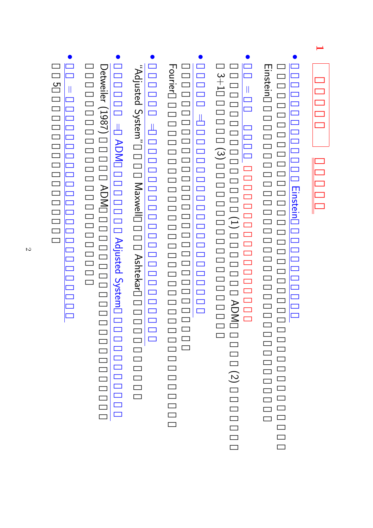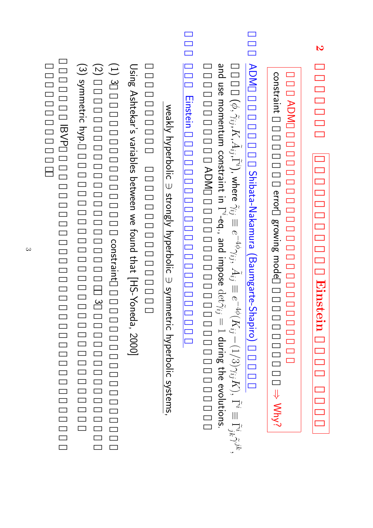|                    | Einstein                                                                                                                                                                                                                                                                                                                                                                  |                       |
|--------------------|---------------------------------------------------------------------------------------------------------------------------------------------------------------------------------------------------------------------------------------------------------------------------------------------------------------------------------------------------------------------------|-----------------------|
| <b>ADM</b>         |                                                                                                                                                                                                                                                                                                                                                                           |                       |
| constraint         | error<br>growing mode                                                                                                                                                                                                                                                                                                                                                     | $\Rightarrow$ Why?    |
| <b>ADM</b>         | Shibata-Nakamura (Baumgarte-Shapiro)                                                                                                                                                                                                                                                                                                                                      |                       |
|                    | and use momentum constraint in $\Gamma^i$ -eq., and impose ${\rm det} \tilde{\gamma}_{ij} = 1$ di<br>$(\phi,\tilde{\gamma}_{ij},K,\tilde{A}_{ij},\tilde{\Gamma}^i)$ , where $\tilde{\gamma}_{ij}\equiv e^{-4\phi}\gamma_{ij},\ \tilde{A}_{ij}\equiv e^{-4\phi}(K_{ij}-(1/3)\gamma_{ij}K),\ \tilde{\Gamma}^i\equiv\tilde{\Gamma}_{jk}^i\tilde{\gamma}^{jk},$<br><b>ADM</b> | uring the evolutions. |
| Einstein           |                                                                                                                                                                                                                                                                                                                                                                           |                       |
|                    | weakly hyperbolic $\ni$ strongly hyperbolic $\Rightarrow$ symmetric hyperbolic systems                                                                                                                                                                                                                                                                                    |                       |
|                    | Using Ashtekar's variables between we found that [HS-Yoneda, 2000]                                                                                                                                                                                                                                                                                                        |                       |
| $(1)$ 3            | constraint                                                                                                                                                                                                                                                                                                                                                                |                       |
| $\overline{z}$     | $\omega$                                                                                                                                                                                                                                                                                                                                                                  |                       |
| (3) symmetric hyp. |                                                                                                                                                                                                                                                                                                                                                                           |                       |

**2**

IBVP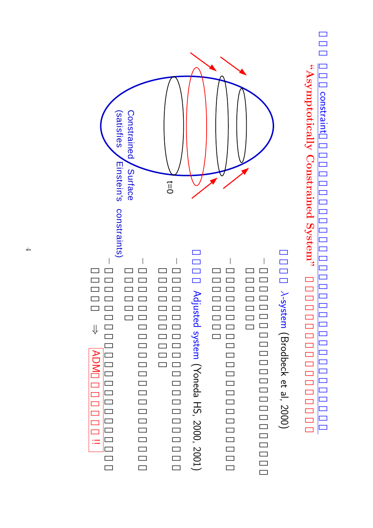

 **System"**





!=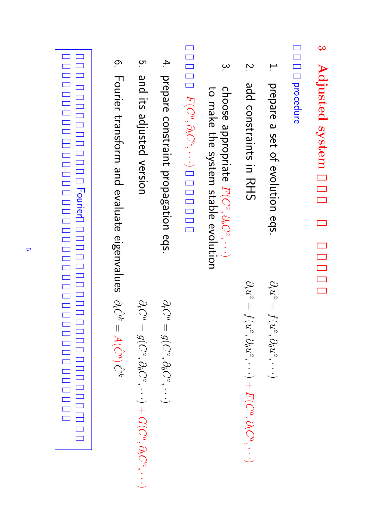#### <u>مئ</u> **Adjusted system**

#### procedure

.<br>. prepare a set of evolutioneqs.

 $\partial_t u^a$ 

 $\partial_t u^a$ 

 $\overline{\phantom{a}}$ 

 $f(u^a, \partial_b u^a,$ 

··· $\smile$  $\overline{+}$ 

 $F(C^a, \partial_b C^a,$ 

··· $\smile$   $\overline{\phantom{a}}$ 

 $f(u^a, \partial_b u^a,$ 

··· $\smile$ 

- $\overline{2}$ add<br>D constraints $\Xi^1$ RHS<br>RHS
- $\omega$ choose appropriate  $F(C^a, \partial_b C^a,$ ··· $\smile$ to make the systemstable evolution

$$
F(C^a, \partial_b C^a, \cdot \cdot \cdot)
$$

4. prepare constraintpropagationeqs.

 $\partial_t C$ 

 $\vert$ 

 $g(C^a,\partial_b C^a,$ 

··· $\smile$ 

5. and<br>D its adjustedversion

$$
\partial_t C^a = g(C^a, \partial_b C^a, \cdots) + G(C^a, \partial_b C^a,
$$

··· $\smile$ 

္ဘာ Fourier transform and evaluate eigenvalues  $\partial_t \hat{C}^k$  $\vert \vert$  $A(\hat{C}^a)$ Cˆk

| Fourier |  |
|---------|--|
|         |  |
|         |  |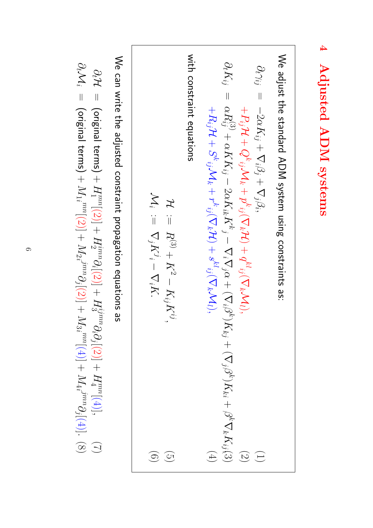We adjust the standard ADM system using constraints as:  
\n
$$
\partial_t \gamma_{ij} = -2\alpha K_{ij} + \nabla_i \beta_j + \nabla_j \beta_i,
$$
\n
$$
+ P_{ij} \mathcal{H} + Q^k_{ij} \mathcal{N}_{ik} + \mathcal{D}^k_{ij} \nabla_k \mathcal{M}_1),
$$
\n
$$
\partial_t \gamma_{ij} = -2\alpha K_{ij} + \alpha K K_{ij} - 2\alpha K_{ik} K^k{}_j - 2\alpha K_{ik} K^k{}_j - \nabla_i \nabla_j \alpha + (\nabla_i \beta^k) K_{kj} + (\nabla_j \beta^k) K_{ki} + \beta^k \nabla_k K_{ij} (3)
$$
\n
$$
\mathcal{H} := \nabla_i \mathcal{M}_k + r^k{}_{ij} (\nabla_k \mathcal{H}) + s^k{}_{ij} (\nabla_k \mathcal{M}_1),
$$
\n
$$
\mathcal{H}_i := \nabla_j K^j - \nabla_i K^j,
$$
\n
$$
\mathcal{M}_i := \nabla_j K^j - \nabla_i K^j.
$$
\n
$$
\mathcal{M}_i := \nabla_j K^j - \nabla_i K^j.
$$
\n
$$
(5)
$$
\n
$$
\mathcal{M}_i := \nabla_j K^j - \nabla_i K^j.
$$
\n
$$
(6)
$$

**4**

**Adjusted**

 **ADM**

 **systems**

 $\lessapprox$ can write the adjusted constraintpropagationequations as

$$
\partial_t \mathcal{H} = \text{(original terms)} + H_1^{mn}[(2)] + H_2^{imm} \partial_i[(2)] + H_3^{imm} \partial_i[2] + H_4^{mn}[(4)],
$$
\n
$$
\partial_t \mathcal{M}_i = \text{(original terms)} + M_1_i^{mn}[(2)] + M_2_i^{jmn} \partial_j[(2)] + M_3_i^{mn}[(4)] + M_4_i^{jmn} \partial_j[(4)].
$$
\n(8)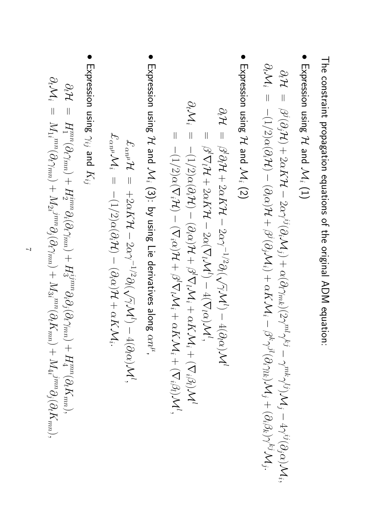The constraintpropagationequations of the original ADM equation:

• Expression using  $\mathcal{L}% _{G}(\theta)=\left( \mathcal{Z}_{G}\right) ^{\ast}\mathcal{Z}_{G}(\theta)$ and<br>D  $\sum_i$  $\widehat{\Xi}$ 

$$
\begin{array}{lll} \partial_t \mathcal{H} & = & \beta^j(\partial_j \mathcal{H}) + 2 \alpha K \mathcal{H} - 2 \alpha \gamma^{ij}(\partial_i \mathcal{M}_j) + \alpha (\partial_l \gamma_{mk}) (2 \gamma^{ml} \gamma^{kj} - \gamma^{mk} \gamma^{lj}) \mathcal{M}_j - 4 \gamma^{ij}(\partial_j \alpha) \mathcal{M}_i, \\ \partial_t \mathcal{M}_i & = & -(1/2) \alpha(\partial_i \mathcal{H}) - (\partial_i \alpha) \mathcal{H} + \beta^j(\partial_j \mathcal{M}_i) + \alpha K \mathcal{M}_i - \beta^k \gamma^{jl} (\partial_i \gamma_{lk}) \mathcal{M}_j + (\partial_i \beta_k) \gamma^{kj} \mathcal{M}_j. \end{array}
$$

• Expression using  $\mathcal{H}% _{0}\left( t\right)$ and<br>D  $\sum_i$ (2)

$$
\partial_t \mathcal{H} = \beta^l \partial_t \mathcal{H} + 2\alpha K \mathcal{H} - 2\alpha \gamma^{-1/2} \partial_l (\sqrt{\gamma} \mathcal{M}^l) - 4(\partial_l \alpha) \mathcal{M}^l
$$
  
\n
$$
= \beta^l \nabla_l \mathcal{H} + 2\alpha K \mathcal{H} - 2\alpha (\nabla_l \mathcal{M}^l) - 4(\nabla_l \alpha) \mathcal{M}^l,
$$
  
\n
$$
\partial_t \mathcal{M}_i = -(1/2)\alpha(\partial_i \mathcal{H}) - (\partial_i \alpha) \mathcal{H} + \beta^l \nabla_l \mathcal{M}_i + \alpha K \mathcal{M}_i + (\nabla_i \beta_l) \mathcal{M}^l,
$$
  
\n
$$
= -(1/2)\alpha(\nabla_i \mathcal{H}) - (\nabla_i \alpha) \mathcal{H} + \beta^l \nabla_l \mathcal{M}_i + \alpha K \mathcal{M}_i + (\nabla_i \beta_l) \mathcal{M}^l,
$$

• Expression using  $\mathcal{H}% _{G}(\theta)=\mathcal{W}_{G}(\theta)$ and<br>D  $\sum_i$ (3): by using Lie derivatives along  $\alpha n^\mu$  ,

$$
\begin{array}{rcl} \mathcal{L}_{\alpha n^{\mu}}\mathcal{H} & = & +2\alpha K\mathcal{H} - 2\alpha\gamma^{-1/2}\partial_l(\sqrt{\gamma}\mathcal{M}^l) - 4(\partial_l\alpha)\mathcal{M}^l, \\ \mathcal{L}_{\alpha n^{\mu}}\mathcal{M}_i & = & -(1/2)\alpha(\partial_i\mathcal{H}) - (\partial_i\alpha)\mathcal{H} + \alpha K\mathcal{M}_i. \end{array}
$$

• Expression using γij and<br>D  $K_{ij}$ 

$$
\partial_t \mathcal{H} = H_1^{mn}(\partial_t \gamma_{mn}) + H_2^{imm} \partial_i (\partial_t \gamma_{mn}) + H_3^{ijmn} \partial_i \partial_j (\partial_t \gamma_{mn}) + H_4^{mn}(\partial_t K_{mn}),
$$
  
\n
$$
\partial_t \mathcal{M}_i = M_1^{mn}(\partial_t \gamma_{mn}) + M_2^{jmn} \partial_j (\partial_t \gamma_{mn}) + M_3^{mn}(\partial_t K_{mn}) + M_4^{jmn} \partial_j (\partial_t K_{mn}),
$$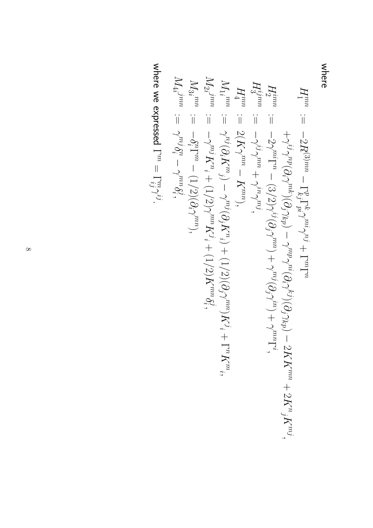where

$$
H_{1}^{mn} := -2R^{(3)mn} - \Gamma_{kj}^{\text{p}} \Gamma_{pi}^{\text{p}} \gamma_{m}^{\text{p}} + \Gamma^{m} \Gamma^{n}
$$
\n
$$
H_{2}^{ijmn} := -2\gamma_{j}^{mi} \Gamma^{0} (\partial_{i} \gamma^{\text{th}}) (\partial_{j} \gamma_{kp}) - \gamma^{mp} \gamma^{ni} (\partial_{i} \gamma^{k} \gamma) (\partial_{j} \gamma_{kp}) - 2K K^{m},
$$
\n
$$
H_{3}^{ijmn} := -2\gamma_{j}^{mi} \Gamma^{n} - (3/2) \gamma^{ij} (\partial_{j} \gamma_{im}) + \gamma^{mj} (\partial_{i} \gamma^{im}) + \gamma^{mn} \Gamma^{i},
$$
\n
$$
H_{1}^{ijmn} := 2(K \gamma^{mn} - K^{m}),
$$
\n
$$
H_{1}^{ijmn} := -\gamma_{j}^{nj} (\partial_{i} K^{m}),
$$
\n
$$
M_{2}^{ijmn} := -\gamma_{j}^{nj} K^{n} + (1/2) (\partial_{i} \gamma^{mn}) K^{j} + \Gamma^{n} K^{m},
$$
\n
$$
M_{3}^{ijmn} := -\gamma_{j}^{nj} K^{n} - \gamma^{mn} \delta_{i}^{j},
$$
\n
$$
M_{4}^{ijmn} := -\gamma_{j}^{nj} K^{n} - \gamma^{mn} \delta_{i}^{j},
$$
\n
$$
M_{2}^{ijmn} := -\gamma_{j}^{nj} K^{n} - \gamma^{mn} \delta_{i}^{j},
$$
\n
$$
M_{3}^{ijmn} := -\gamma_{j}^{nj} K^{n} - \gamma^{mn} \delta_{i}^{j},
$$
\n
$$
M_{4}^{ijmn} := -\gamma_{j}^{nj} K^{n} - \gamma^{mn} \delta_{i}^{j},
$$
\n
$$
M_{5}^{ijmn} := -\gamma_{j}^{nj} K^{n} - \gamma^{mn} \delta_{i}^{j},
$$

where we expressed Γ $\mathbb{L}$ ijmγij.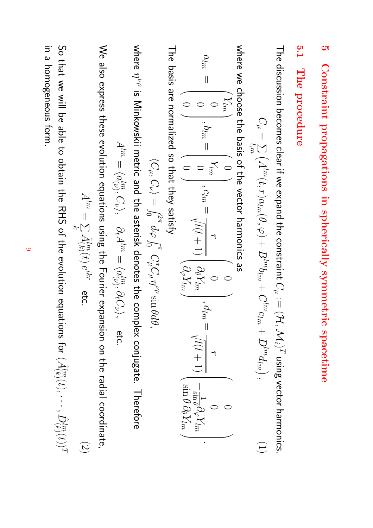### <u>ा</u> **Constraintpropagationsin sphericallysymmetricspacetime**

#### **5.1 The procedure**

The discussion becomes clear if we expand the constraint  $C^{A}$  $:= (\mathcal{H}, \mathcal{M}_i)^T$ using vector harmonics.

$$
C_{\mu} = \sum_{l,m} (A^{lm}(t, r)a_{lm}(\theta, \varphi) + B^{lm}b_{lm} + C^{lm}c_{lm} + D^{lm}d_{lm}), \qquad (1)
$$

where we choose the basis of the vector harmonicsစ္တ

$$
a_{lm} = \begin{pmatrix} Y_m \\ 0 \\ 0 \\ 0 \end{pmatrix}, b_{lm} = \begin{pmatrix} 0 \\ Y_m \\ 0 \\ 0 \end{pmatrix}, c_{lm} = \frac{r}{\sqrt{l(l+1)}} \begin{pmatrix} 0 \\ \partial_{\theta} Y_m \\ \partial_{\varphi} Y_m \end{pmatrix}, d_{lm} = \frac{r}{\sqrt{l(l+1)}} \begin{pmatrix} 0 \\ -\frac{1}{\sin \theta} \partial_{\varphi} Y_m \\ \frac{1}{\sin \theta} \partial_{\theta} Y_m \\ \frac{1}{\sin \theta} \partial_{\theta} Y_m \end{pmatrix}.
$$

The basis are normalizedso that they satisfy

$$
\langle C_\mu, C_\nu \rangle = \int_0^{2\pi} d\varphi \int_0^\pi C_\mu^* C_\rho \eta^{\nu\rho} \sin \theta d\theta,
$$

where ηνρ ີທ Minkowskii metric and the asterisk denotes the complex conjugate.Therefore

$$
A^{lm}=\langle a^{lm}_{(\nu)},C_{\nu}\rangle,\quad \partial_t A^{lm}=\langle a^{lm}_{(\nu)},\partial_t C_{\nu}\rangle,\quad \text{etc.}
$$

 $\lessapprox$ also express these evolution equations using the Fourier expansion on the radial coordinate,

$$
A^{lm} = \sum_{k} \hat{A}_{(k)}^{lm}(t) e^{ikr} \quad \text{etc.} \tag{2}
$$

So that we will be able to obtain the RHS of the evolution equations for  $(\hat{A}_{(k)}^{lm}(t),$  $\cdots, \hat{D}_{(k)}^{lm}(t))$ T in a homogeneousform.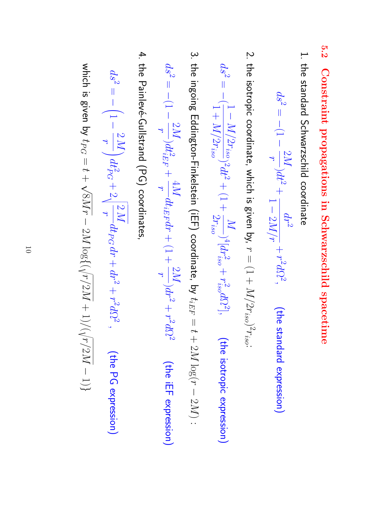- **5.2 Constraintpropagations in Schwarzschildspacetime**
- 1. the standard Schwarzschildcoordinate

$$
ds^2 = -(1 - \frac{2M}{r})dt^2 + \frac{dr^2}{1 - 2M/r} + r^2 d\Omega^2, \qquad \text{(the standard expression)}
$$

2. the isotropic coordinate, which is given by,  $\rightarrow$  $=$   $\left(1 + \right)$ M/ $2r_{iso})^2r_{iso}$ 

$$
ds^2 = -\langle \frac{1 - M/2r_{iso}}{1 + M/2r_{iso}} \rangle^2 dt^2 + (1 + \frac{M}{2r_{iso}})^4 [dr_{iso}^2 + r_{iso}^2 d\Omega^2], \qquad \text{(the isotropic expression)}
$$

3. the ingoing Eddington-Finkelstein (iEF) coordinate, $\overline{S}$  $t_{iEF}$  $\overline{\phantom{a}}$  $\rightarrow$ + 2M log( $\rightarrow$ −  $\mathcal C$  $\mathbb{N}$ 

:

$$
ds^2 = -(1-\frac{2M}{r})dt_{iEF}^2 + \frac{4M}{r}dt_{iEF}dr + (1+\frac{2M}{r})dr^2 + r^2d\Omega^2
$$
 (the iEF expression)

4. the Painlevé-Gullstrand (PG) coordinates,

$$
ds^2 = -\left(1 - \frac{2M}{r}\right)dt^2_{PG} + 2\sqrt{\frac{2M}{r}}dt_{PG}dr + dr^2 + r^2d\Omega^2, \qquad \text{(the PG expression)}
$$

which is given by tPG  $\overline{\phantom{a}}$  $\rightarrow$  $\overline{+}$  $\lesssim$  $\mathbb{N}$ −  $\boxtimes$  $\log\left(\left(\right)$  $\gamma'$  $\boxtimes$ + 1) $\left\langle \right\rangle$  $\gamma'$  $\boxtimes$ −  $\overline{\phantom{0}}$  $\overline{}$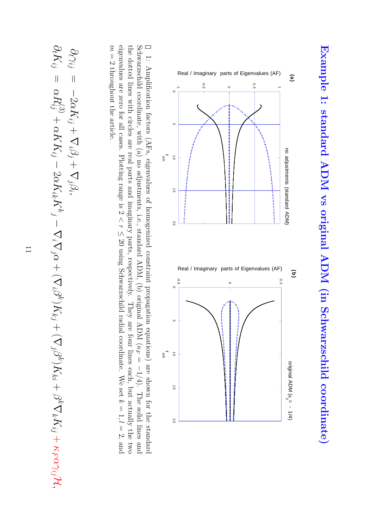

1:Amplification factors (AFs, eigenvalues of homogenizedconstraintpropagation equations) are shown for the standard Schwarzschildcoordinate, with (a) no adjustments, i.e., standard ADM, (b) original ADM ( κ *F*  $\overline{\phantom{a}}$ 1/4). The solid lines and eigenvalues are zero for all cases. Plotting range is 2 the dotted lines with circles are real parts and imaginary parts, respectively. They are four lines each, but actually the two へ<br>〜 ≤ 20 using Schwarzschild radial coordinate. We set z  $= 1, l$  $=$  2, and m ا|<br>M throughoutthe article.

$$
\frac{\partial_t\gamma_{ij}}{\partial_t K_{ij}}=-2\alpha K_{ij}+\nabla_i\beta_j+\nabla_j\beta_i,\hspace{0.7cm}\\ \nabla_j\gamma_{ik}K^k_{\phantom{k}j}-\nabla_i\nabla_j\alpha+(\nabla_i\beta^k)K_{kj}+(\nabla_j\beta^k)K_{ki}+\beta^k\nabla_kK_{ij}+\kappa_F\alpha\gamma_{ij}\mathcal{H},
$$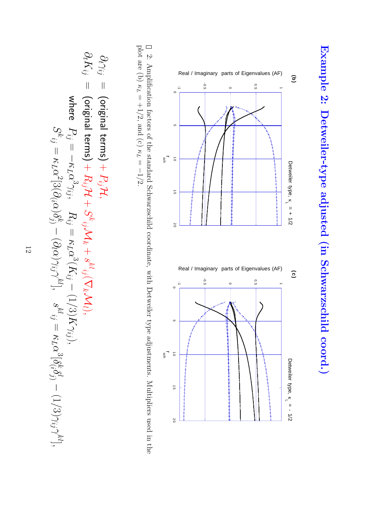



<u>ب</u><br>: Amplification factors of the standardSchwarzschildcoordinate, with Detweiler type adjustments.Multipliers used in the plot are (b) κ *L*  $= +1/2$ , and (c) κ *L*  $\overline{\phantom{a}}$ 1/2.

$$
\partial_t \gamma_{ij} = \text{(original terms)} + P_{ij} \mathcal{H},
$$
\n
$$
\partial_t K_{ij} = \text{(original terms)} + P_{ij} \mathcal{H},
$$
\n
$$
\partial_t K_{ij} = \text{(original terms)} + R_{ij} \mathcal{H} + S^{k}{}_{ij} \mathcal{M}_k + s^{k}{}_{ij} (\nabla_k \mathcal{M}_l),
$$
\n
$$
\text{where } P_{ij} = -\kappa_L \alpha^3 \gamma_{ij}, \quad R_{ij} = \kappa_L \alpha^3 (K_{ij} - (1/3)K \gamma_{ij}),
$$
\n
$$
S^{k}{}_{ij} = \kappa_L \alpha^2 [3(\partial_i \alpha) \delta^k_{ij} - (\partial_l \alpha) \gamma_{ij} \gamma^{kl}], \quad s^{k}{}_{ij} = \kappa_L \alpha^3 [\delta^k_{(i} \delta^l_{j)} - (1/3) \gamma_{ij} \gamma^{kl}],
$$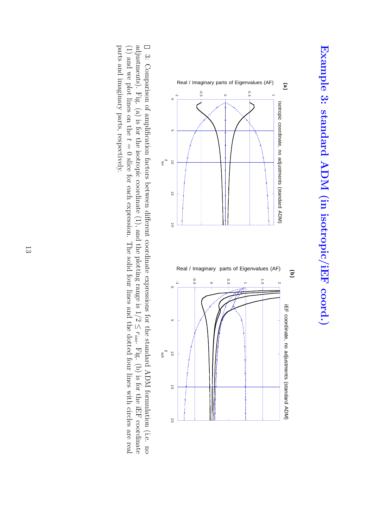

<u>ب</u><br>. Comparison of amplification factors between different coordinateexpressions for the standard ADM formulation (i.e. no adjustments). Fig. (a) is for the isotropic coordinate $(1)$ , and the plotting range is  $1/2$ ∣∧ r*iso*. Fig. (b) is for the iEF coordinate (1) and we plot lines on the  $\vec{\phantom{0}}$  $\overline 0$ slice for each expression. The solid four lines and the dotted four lines with circles are real parts and imaginary parts, respectively.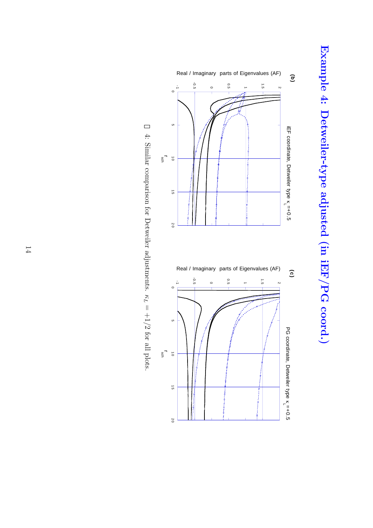



4: Similar comparison for Detweileradjustments. κ *L*  $= +1/2$ for all plots.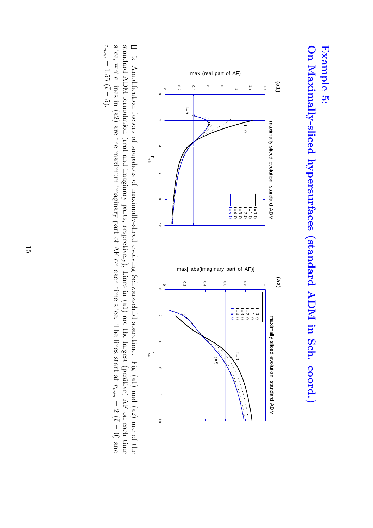## **On Maximally-slicedhypersurfaces (standard ADM in Sch. coord.) Example 5:**



5:Amplification factors of snapshots of maximally-sliced evolving Schwarzschildspacetime. Fig (a1) and (a2) are of the slice, while lines in (a2) are the maximum imaginary part of AF on each time slice. The lines start at standard ADM formulation (real and imaginary parts, respectively), Lines in (a1) are the largest (positive) AF on each time r*min*  $=2(t$  $\overline{0}$ and r*min*  $= 1.55$  ( $\bar{t} =$ 5).